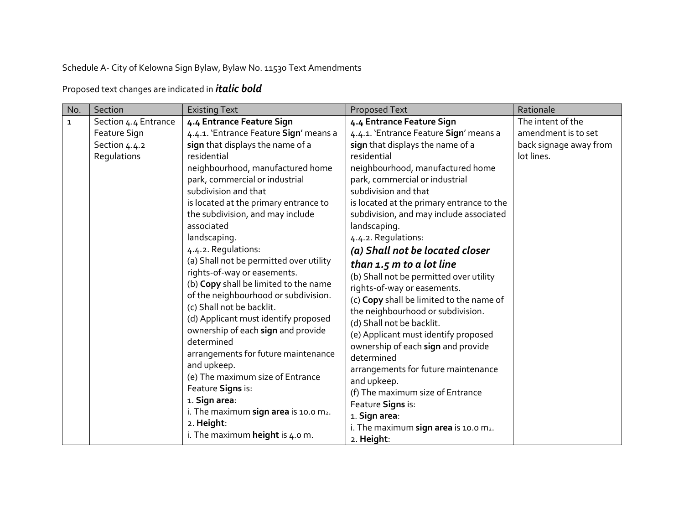Schedule A- City of Kelowna Sign Bylaw, Bylaw No. 11530 Text Amendments

Proposed text changes are indicated in *italic bold*

| No.          | Section              | <b>Existing Text</b>                                                                                                                                                                                                                                                                                                                                                                                                                                                                                         | Proposed Text                                                                                                                                                                                                                                                                                                                                                                                                                                                                                      | Rationale              |
|--------------|----------------------|--------------------------------------------------------------------------------------------------------------------------------------------------------------------------------------------------------------------------------------------------------------------------------------------------------------------------------------------------------------------------------------------------------------------------------------------------------------------------------------------------------------|----------------------------------------------------------------------------------------------------------------------------------------------------------------------------------------------------------------------------------------------------------------------------------------------------------------------------------------------------------------------------------------------------------------------------------------------------------------------------------------------------|------------------------|
| $\mathbf{1}$ | Section 4.4 Entrance | 4.4 Entrance Feature Sign                                                                                                                                                                                                                                                                                                                                                                                                                                                                                    | 4.4 Entrance Feature Sign                                                                                                                                                                                                                                                                                                                                                                                                                                                                          | The intent of the      |
|              | Feature Sign         | 4.4.1. 'Entrance Feature Sign' means a                                                                                                                                                                                                                                                                                                                                                                                                                                                                       | 4.4.1. 'Entrance Feature Sign' means a                                                                                                                                                                                                                                                                                                                                                                                                                                                             | amendment is to set    |
|              | Section 4.4.2        | sign that displays the name of a                                                                                                                                                                                                                                                                                                                                                                                                                                                                             | sign that displays the name of a                                                                                                                                                                                                                                                                                                                                                                                                                                                                   | back signage away from |
|              | Regulations          | residential                                                                                                                                                                                                                                                                                                                                                                                                                                                                                                  | residential                                                                                                                                                                                                                                                                                                                                                                                                                                                                                        | lot lines.             |
|              |                      | neighbourhood, manufactured home                                                                                                                                                                                                                                                                                                                                                                                                                                                                             | neighbourhood, manufactured home                                                                                                                                                                                                                                                                                                                                                                                                                                                                   |                        |
|              |                      | park, commercial or industrial                                                                                                                                                                                                                                                                                                                                                                                                                                                                               | park, commercial or industrial                                                                                                                                                                                                                                                                                                                                                                                                                                                                     |                        |
|              |                      | subdivision and that                                                                                                                                                                                                                                                                                                                                                                                                                                                                                         | subdivision and that                                                                                                                                                                                                                                                                                                                                                                                                                                                                               |                        |
|              |                      | is located at the primary entrance to                                                                                                                                                                                                                                                                                                                                                                                                                                                                        | is located at the primary entrance to the                                                                                                                                                                                                                                                                                                                                                                                                                                                          |                        |
|              |                      | the subdivision, and may include                                                                                                                                                                                                                                                                                                                                                                                                                                                                             | subdivision, and may include associated                                                                                                                                                                                                                                                                                                                                                                                                                                                            |                        |
|              |                      | associated                                                                                                                                                                                                                                                                                                                                                                                                                                                                                                   | landscaping.                                                                                                                                                                                                                                                                                                                                                                                                                                                                                       |                        |
|              |                      | landscaping.                                                                                                                                                                                                                                                                                                                                                                                                                                                                                                 | 4.4.2. Regulations:                                                                                                                                                                                                                                                                                                                                                                                                                                                                                |                        |
|              |                      | 4.4.2. Regulations:                                                                                                                                                                                                                                                                                                                                                                                                                                                                                          | (a) Shall not be located closer                                                                                                                                                                                                                                                                                                                                                                                                                                                                    |                        |
|              |                      | (a) Shall not be permitted over utility<br>rights-of-way or easements.<br>(b) Copy shall be limited to the name<br>of the neighbourhood or subdivision.<br>(c) Shall not be backlit.<br>(d) Applicant must identify proposed<br>ownership of each sign and provide<br>determined<br>arrangements for future maintenance<br>and upkeep.<br>(e) The maximum size of Entrance<br>Feature Signs is:<br>1. Sign area:<br>i. The maximum sign area is 10.0 $m2$ .<br>2. Height:<br>i. The maximum height is 4.0 m. | than 1.5 m to a lot line<br>(b) Shall not be permitted over utility<br>rights-of-way or easements.<br>(c) Copy shall be limited to the name of<br>the neighbourhood or subdivision.<br>(d) Shall not be backlit.<br>(e) Applicant must identify proposed<br>ownership of each sign and provide<br>determined<br>arrangements for future maintenance<br>and upkeep.<br>(f) The maximum size of Entrance<br>Feature Signs is:<br>1. Sign area:<br>i. The maximum sign area is 10.0 m2.<br>2. Height: |                        |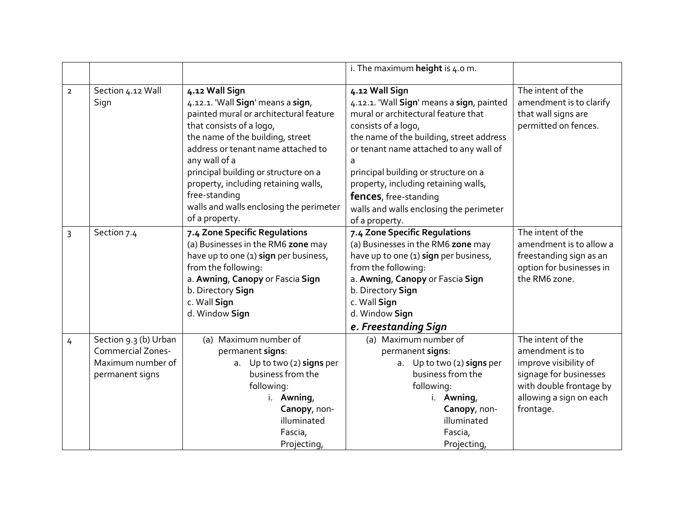|                |                                                                                           |                                                                                                                                                                                                                                                                                                                                                                                    | i. The maximum height is $4.0$ m.                                                                                                                                                                                                                                                                                                                                                     |                                                                                                                                                            |
|----------------|-------------------------------------------------------------------------------------------|------------------------------------------------------------------------------------------------------------------------------------------------------------------------------------------------------------------------------------------------------------------------------------------------------------------------------------------------------------------------------------|---------------------------------------------------------------------------------------------------------------------------------------------------------------------------------------------------------------------------------------------------------------------------------------------------------------------------------------------------------------------------------------|------------------------------------------------------------------------------------------------------------------------------------------------------------|
| $\overline{2}$ | Section 4.12 Wall<br>Sign                                                                 | 4.12 Wall Sign<br>4.12.1. 'Wall Sign' means a sign,<br>painted mural or architectural feature<br>that consists of a logo,<br>the name of the building, street<br>address or tenant name attached to<br>any wall of a<br>principal building or structure on a<br>property, including retaining walls,<br>free-standing<br>walls and walls enclosing the perimeter<br>of a property. | 4.12 Wall Sign<br>4.12.1. 'Wall Sign' means a sign, painted<br>mural or architectural feature that<br>consists of a logo,<br>the name of the building, street address<br>or tenant name attached to any wall of<br>principal building or structure on a<br>property, including retaining walls,<br>fences, free-standing<br>walls and walls enclosing the perimeter<br>of a property. | The intent of the<br>amendment is to clarify<br>that wall signs are<br>permitted on fences.                                                                |
| 3              | Section 7.4                                                                               | 7.4 Zone Specific Regulations<br>(a) Businesses in the RM6 zone may<br>have up to one (1) sign per business,<br>from the following:<br>a. Awning, Canopy or Fascia Sign<br>b. Directory Sign<br>c. Wall Sign<br>d. Window Sign                                                                                                                                                     | 7.4 Zone Specific Regulations<br>(a) Businesses in the RM6 zone may<br>have up to one (1) sign per business,<br>from the following:<br>a. Awning, Canopy or Fascia Sign<br>b. Directory Sign<br>c. Wall Sign<br>d. Window Sign<br>e. Freestanding Sign                                                                                                                                | The intent of the<br>amendment is to allow a<br>freestanding sign as an<br>option for businesses in<br>the RM6 zone.                                       |
| 4              | Section 9.3 (b) Urban<br><b>Commercial Zones-</b><br>Maximum number of<br>permanent signs | (a) Maximum number of<br>permanent signs:<br>a. Up to two (2) signs per<br>business from the<br>following:<br>i. Awning,<br>Canopy, non-<br>illuminated<br>Fascia,<br>Projecting,                                                                                                                                                                                                  | (a) Maximum number of<br>permanent signs:<br>a. Up to two (2) signs per<br>business from the<br>following:<br>i. Awning,<br>Canopy, non-<br>illuminated<br>Fascia,<br>Projecting,                                                                                                                                                                                                     | The intent of the<br>amendment is to<br>improve visibility of<br>signage for businesses<br>with double frontage by<br>allowing a sign on each<br>frontage. |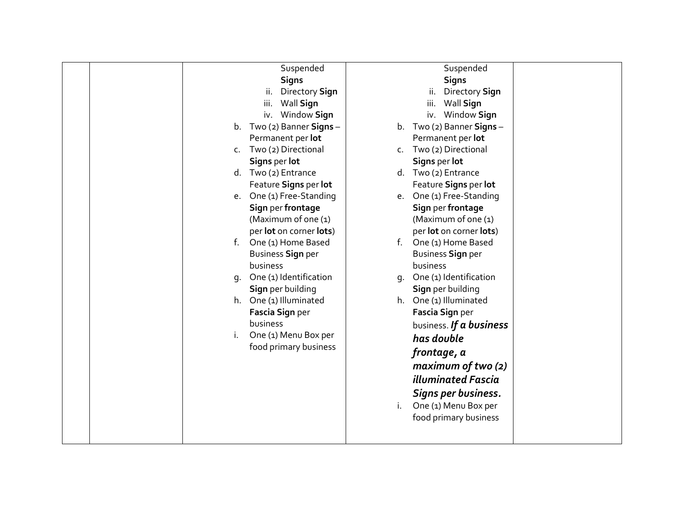| Suspended                    | Suspended                             |
|------------------------------|---------------------------------------|
| <b>Signs</b>                 | <b>Signs</b>                          |
| ii. Directory Sign           | Directory Sign<br>ii.                 |
| iii.<br>Wall Sign            | Wall Sign<br>iii.                     |
| iv. Window Sign              | iv. Window Sign                       |
| b. Two (2) Banner Signs -    | b. Two (2) Banner Signs $-$           |
| Permanent per lot            | Permanent per lot                     |
| c. Two (2) Directional       | Two (2) Directional<br>$\mathsf{C}$ . |
| Signs per lot                | Signs per lot                         |
| d. Two (2) Entrance          | d. Two (2) Entrance                   |
| Feature Signs per lot        | Feature Signs per lot                 |
| e. One (1) Free-Standing     | One (1) Free-Standing<br>e.           |
| Sign per frontage            | Sign per frontage                     |
| (Maximum of one (1)          | (Maximum of one (1)                   |
| per lot on corner lots)      | per lot on corner lots)               |
| f. One (1) Home Based        | f. One (1) Home Based                 |
| <b>Business Sign per</b>     | <b>Business Sign per</b>              |
| business                     | business                              |
| One (1) Identification<br>q. | One (1) Identification<br>q.          |
| Sign per building            | Sign per building                     |
| h. One (1) Illuminated       | h. One (1) Illuminated                |
| Fascia Sign per              | Fascia Sign per                       |
| business                     | business. If a business               |
| One (1) Menu Box per<br>i.   | has double                            |
| food primary business        | frontage, a                           |
|                              | maximum of two (2)                    |
|                              | <b>illuminated Fascia</b>             |
|                              | Signs per business.                   |
|                              | One (1) Menu Box per<br>i.            |
|                              | food primary business                 |
|                              |                                       |
|                              |                                       |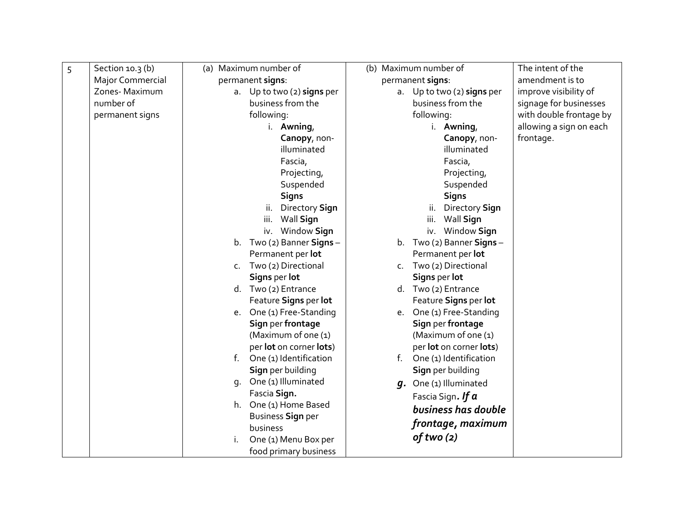| 5 | Section $10.3(b)$ | (a) Maximum number of                  | (b) Maximum number of          | The intent of the       |
|---|-------------------|----------------------------------------|--------------------------------|-------------------------|
|   | Major Commercial  | permanent signs:                       | permanent signs:               | amendment is to         |
|   | Zones-Maximum     | a. Up to two (2) signs per             | a. Up to two (2) signs per     | improve visibility of   |
|   | number of         | business from the                      | business from the              | signage for businesses  |
|   | permanent signs   | following:                             | following:                     | with double frontage by |
|   |                   | i. Awning,                             | i. Awning,                     | allowing a sign on each |
|   |                   | Canopy, non-                           | Canopy, non-                   | frontage.               |
|   |                   | illuminated                            | illuminated                    |                         |
|   |                   | Fascia,                                | Fascia,                        |                         |
|   |                   | Projecting,                            | Projecting,                    |                         |
|   |                   | Suspended                              | Suspended                      |                         |
|   |                   | <b>Signs</b>                           | <b>Signs</b>                   |                         |
|   |                   | ii. Directory Sign                     | Directory Sign<br>ii.          |                         |
|   |                   | iii.<br>Wall Sign                      | iii.<br>Wall Sign              |                         |
|   |                   | iv. Window Sign                        | iv. Window Sign                |                         |
|   |                   | b. Two (2) Banner Signs -              | Two (2) Banner Signs -<br>b.   |                         |
|   |                   | Permanent per lot                      | Permanent per lot              |                         |
|   |                   | Two (2) Directional<br>$\mathsf{C}$ .  | Two (2) Directional<br>$C_{1}$ |                         |
|   |                   | Signs per lot                          | Signs per lot                  |                         |
|   |                   | d. Two (2) Entrance                    | d. Two (2) Entrance            |                         |
|   |                   | Feature Signs per lot                  | Feature Signs per lot          |                         |
|   |                   | e. One (1) Free-Standing               | One (1) Free-Standing<br>e.    |                         |
|   |                   | Sign per frontage                      | Sign per frontage              |                         |
|   |                   | (Maximum of one (1)                    | (Maximum of one (1)            |                         |
|   |                   | per lot on corner lots)                | per lot on corner lots)        |                         |
|   |                   | $f_{\rm{r}}$<br>One (1) Identification | One (1) Identification<br>f.   |                         |
|   |                   | Sign per building                      | Sign per building              |                         |
|   |                   | q. One (1) Illuminated                 | q. One (1) Illuminated         |                         |
|   |                   | Fascia Sign.                           | Fascia Sign. If $a$            |                         |
|   |                   | h. One (1) Home Based                  | business has double            |                         |
|   |                   | Business Sign per                      | frontage, maximum              |                         |
|   |                   | business                               | of two (2)                     |                         |
|   |                   | One (1) Menu Box per                   |                                |                         |
|   |                   | food primary business                  |                                |                         |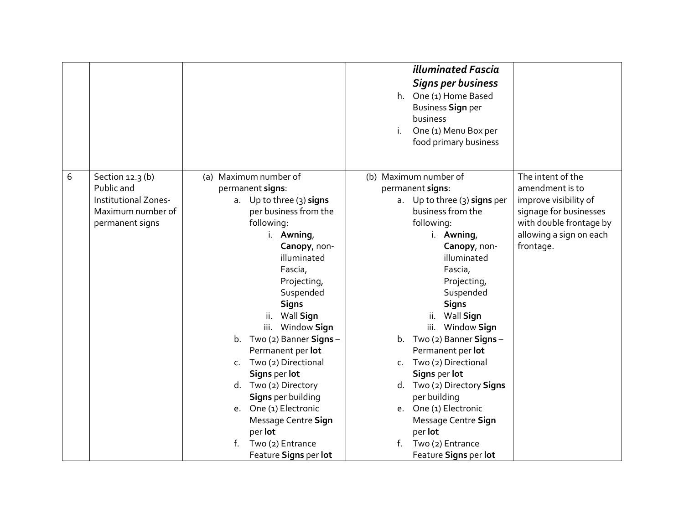|   |                                                                                                |                                                                                                                                                                                                                                                                                                                                                                                                                                                                                         | <b>illuminated Fascia</b><br><b>Signs per business</b><br>h. One (1) Home Based<br><b>Business Sign per</b><br>business<br>One (1) Menu Box per<br>food primary business                                                                                                                                                                                                                                                                                                                                 |                                                                                                                                                            |
|---|------------------------------------------------------------------------------------------------|-----------------------------------------------------------------------------------------------------------------------------------------------------------------------------------------------------------------------------------------------------------------------------------------------------------------------------------------------------------------------------------------------------------------------------------------------------------------------------------------|----------------------------------------------------------------------------------------------------------------------------------------------------------------------------------------------------------------------------------------------------------------------------------------------------------------------------------------------------------------------------------------------------------------------------------------------------------------------------------------------------------|------------------------------------------------------------------------------------------------------------------------------------------------------------|
| 6 | Section 12.3 (b)<br>Public and<br>Institutional Zones-<br>Maximum number of<br>permanent signs | (a) Maximum number of<br>permanent signs:<br>a. Up to three (3) signs<br>per business from the<br>following:<br>i. Awning,<br>Canopy, non-<br>illuminated<br>Fascia,<br>Projecting,<br>Suspended<br><b>Signs</b><br>ii. Wall Sign<br>iii. Window Sign<br>b. $Two (2)$ Banner Signs -<br>Permanent per lot<br>c. Two (2) Directional<br>Signs per lot<br>d. Two (2) Directory<br>Signs per building<br>e. One (1) Electronic<br>Message Centre Sign<br>per lot<br>f.<br>Two (2) Entrance | (b) Maximum number of<br>permanent signs:<br>a. Up to three (3) signs per<br>business from the<br>following:<br>i. Awning,<br>Canopy, non-<br>illuminated<br>Fascia,<br>Projecting,<br>Suspended<br><b>Signs</b><br>ii.<br>Wall Sign<br>iii. Window Sign<br>b. $Two(2)$ Banner Signs -<br>Permanent per lot<br>Two (2) Directional<br>$C_{\rm L}$<br>Signs per lot<br>Two (2) Directory Signs<br>d.<br>per building<br>e. One (1) Electronic<br>Message Centre Sign<br>per lot<br>Two (2) Entrance<br>f. | The intent of the<br>amendment is to<br>improve visibility of<br>signage for businesses<br>with double frontage by<br>allowing a sign on each<br>frontage. |
|   |                                                                                                | Feature Signs per lot                                                                                                                                                                                                                                                                                                                                                                                                                                                                   | Feature Signs per lot                                                                                                                                                                                                                                                                                                                                                                                                                                                                                    |                                                                                                                                                            |